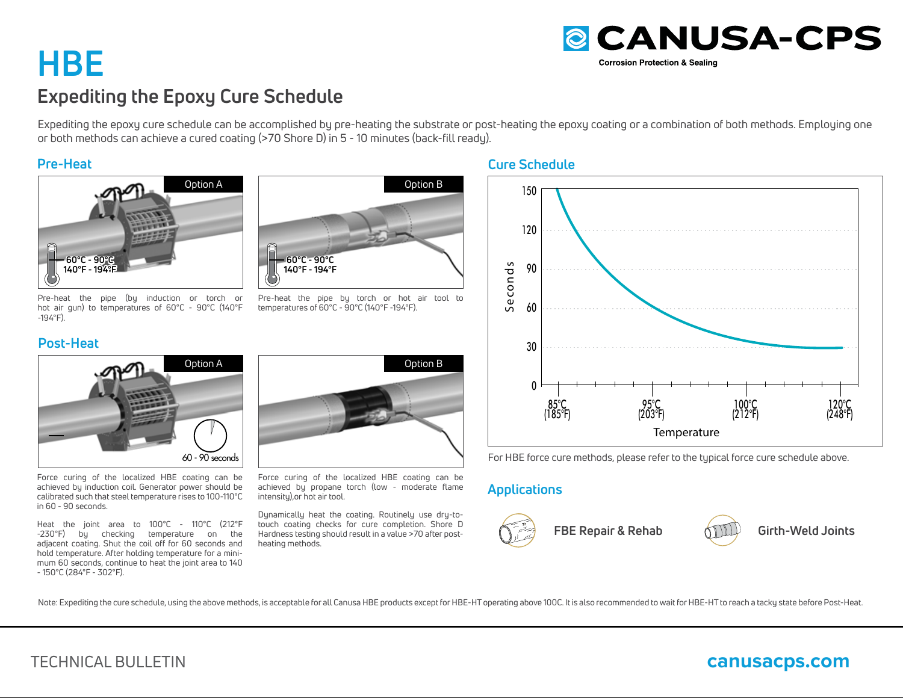# **HBEExpediting the Epoxy Cure Schedule**

Expediting the epoxy cure schedule can be accomplished by pre-heating the substrate or post-heating the epoxy coating or a combination of both methods. Employing one or both methods can achieve a cured coating (>70 Shore D) in 5 - 10 minutes (back-fill ready).

### **Pre-Heat**



Pre-heat the pipe (by induction or torch or hot air gun) to temperatures of 60°C - 90°C (140°F -194°F).

## **Post-Heat**



Force curing of the localized HBE coating can be achieved by induction coil. Generator power should be calibrated such that steel temperature rises to 100-110°C in 60 - 90 seconds.

Heat the joint area to 100°C - 110°C (212°F -230°F) by checking temperature on the adjacent coating. Shut the coil off for 60 seconds and hold temperature. After holding temperature for a minimum 60 seconds, continue to heat the joint area to 140 - 150°C (284°F - 302°F).



Pre-heat the pipe by torch or hot air tool to temperatures of 60°C - 90°C (140°F -194°F).



Force curing of the localized HBE coating can be achieved by propane torch (low - moderate flame intensity),or hot air tool.

Dynamically heat the coating. Routinely use dry-totouch coating checks for cure completion. Shore D Hardness testing should result in a value >70 after postheating methods.

### **Cure Schedule**



For HBE force cure methods, please refer to the typical force cure schedule above.

# **Applications**



**FBE Repair & Rehab Girth-Weld Joints**



Note: Expediting the cure schedule, using the above methods, is acceptable for all Canusa HBE products except for HBE-HT operating above 100C. It is also recommended to wait for HBE-HT to reach a tacky state before Post-He



# TECHNICAL BULLETIN

# **canusacps.com**